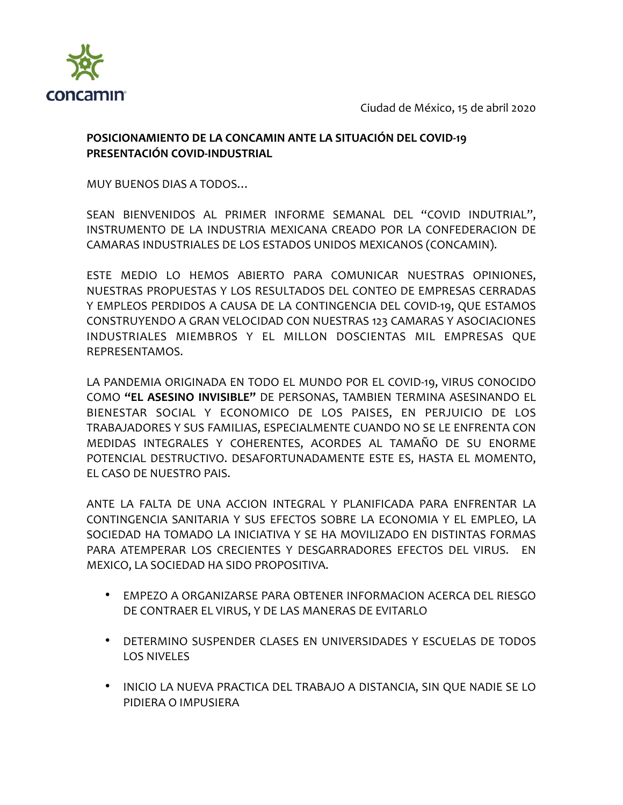

Ciudad de México, 15 de abril 2020

## **POSICIONAMIENTO DE LA CONCAMIN ANTE LA SITUACIÓN DEL COVID-19 PRESENTACIÓN COVID-INDUSTRIAL**

MUY BUENOS DIAS A TODOS…

SEAN BIENVENIDOS AL PRIMER INFORME SEMANAL DEL "COVID INDUTRIAL", INSTRUMENTO DE LA INDUSTRIA MEXICANA CREADO POR LA CONFEDERACION DE CAMARAS INDUSTRIALES DE LOS ESTADOS UNIDOS MEXICANOS (CONCAMIN).

ESTE MEDIO LO HEMOS ABIERTO PARA COMUNICAR NUESTRAS OPINIONES, NUESTRAS PROPUESTAS Y LOS RESULTADOS DEL CONTEO DE EMPRESAS CERRADAS Y EMPLEOS PERDIDOS A CAUSA DE LA CONTINGENCIA DEL COVID-19, QUE ESTAMOS CONSTRUYENDO A GRAN VELOCIDAD CON NUESTRAS 123 CAMARAS Y ASOCIACIONES INDUSTRIALES MIEMBROS Y EL MILLON DOSCIENTAS MIL EMPRESAS QUE REPRESENTAMOS.

LA PANDEMIA ORIGINADA EN TODO EL MUNDO POR EL COVID-19, VIRUS CONOCIDO COMO **"EL ASESINO INVISIBLE"** DE PERSONAS, TAMBIEN TERMINA ASESINANDO EL BIENESTAR SOCIAL Y ECONOMICO DE LOS PAISES, EN PERJUICIO DE LOS TRABAJADORES Y SUS FAMILIAS, ESPECIALMENTE CUANDO NO SE LE ENFRENTA CON MEDIDAS INTEGRALES Y COHERENTES, ACORDES AL TAMAÑO DE SU ENORME POTENCIAL DESTRUCTIVO. DESAFORTUNADAMENTE ESTE ES, HASTA EL MOMENTO, EL CASO DE NUESTRO PAIS.

ANTE LA FALTA DE UNA ACCION INTEGRAL Y PLANIFICADA PARA ENFRENTAR LA CONTINGENCIA SANITARIA Y SUS EFECTOS SOBRE LA ECONOMIA Y EL EMPLEO, LA SOCIEDAD HA TOMADO LA INICIATIVA Y SE HA MOVILIZADO EN DISTINTAS FORMAS PARA ATEMPERAR LOS CRECIENTES Y DESGARRADORES EFECTOS DEL VIRUS. EN MEXICO, LA SOCIEDAD HA SIDO PROPOSITIVA.

- EMPEZO A ORGANIZARSE PARA OBTENER INFORMACION ACERCA DEL RIESGO DE CONTRAER EL VIRUS, Y DE LAS MANERAS DE EVITARLO
- DETERMINO SUSPENDER CLASES EN UNIVERSIDADES Y ESCUELAS DE TODOS LOS NIVELES
- INICIO LA NUEVA PRACTICA DEL TRABAJO A DISTANCIA, SIN QUE NADIE SE LO PIDIERA O IMPUSIERA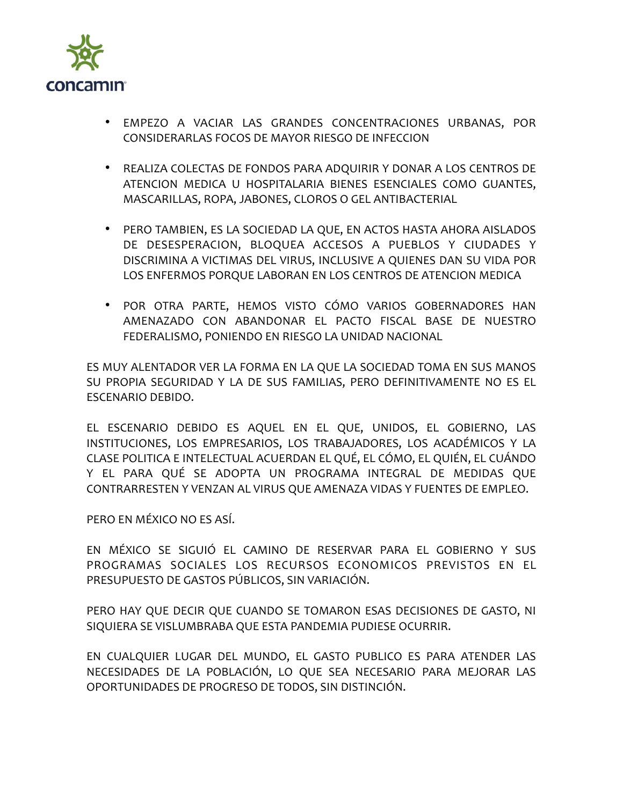

- EMPEZO A VACIAR LAS GRANDES CONCENTRACIONES URBANAS, POR CONSIDERARLAS FOCOS DE MAYOR RIESGO DE INFECCION
- REALIZA COLECTAS DE FONDOS PARA ADQUIRIR Y DONAR A LOS CENTROS DE ATENCION MEDICA U HOSPITALARIA BIENES ESENCIALES COMO GUANTES, MASCARILLAS, ROPA, JABONES, CLOROS O GEL ANTIBACTERIAL
- PERO TAMBIEN, ES LA SOCIEDAD LA QUE, EN ACTOS HASTA AHORA AISLADOS DE DESESPERACION, BLOQUEA ACCESOS A PUEBLOS Y CIUDADES Y DISCRIMINA A VICTIMAS DEL VIRUS, INCLUSIVE A QUIENES DAN SU VIDA POR LOS ENFERMOS PORQUE LABORAN EN LOS CENTROS DE ATENCION MEDICA
- POR OTRA PARTE, HEMOS VISTO CÓMO VARIOS GOBERNADORES HAN AMENAZADO CON ABANDONAR EL PACTO FISCAL BASE DE NUESTRO FEDERALISMO, PONIENDO EN RIESGO LA UNIDAD NACIONAL

ES MUY ALENTADOR VER LA FORMA EN LA QUE LA SOCIEDAD TOMA EN SUS MANOS SU PROPIA SEGURIDAD Y LA DE SUS FAMILIAS, PERO DEFINITIVAMENTE NO ES EL ESCENARIO DEBIDO.

EL ESCENARIO DEBIDO ES AQUEL EN EL QUE, UNIDOS, EL GOBIERNO, LAS INSTITUCIONES, LOS EMPRESARIOS, LOS TRABAJADORES, LOS ACADÉMICOS Y LA CLASE POLITICA E INTELECTUAL ACUERDAN EL QUÉ, EL CÓMO, EL QUIÉN, EL CUÁNDO Y EL PARA QUÉ SE ADOPTA UN PROGRAMA INTEGRAL DE MEDIDAS QUE CONTRARRESTEN Y VENZAN AL VIRUS QUE AMENAZA VIDAS Y FUENTES DE EMPLEO.

PERO EN MÉXICO NO ES ASÍ.

EN MÉXICO SE SIGUIÓ EL CAMINO DE RESERVAR PARA EL GOBIERNO Y SUS PROGRAMAS SOCIALES LOS RECURSOS ECONOMICOS PREVISTOS EN EL PRESUPUESTO DE GASTOS PÚBLICOS, SIN VARIACIÓN.

PERO HAY QUE DECIR QUE CUANDO SE TOMARON ESAS DECISIONES DE GASTO, NI SIQUIERA SE VISLUMBRABA QUE ESTA PANDEMIA PUDIESE OCURRIR.

EN CUALQUIER LUGAR DEL MUNDO, EL GASTO PUBLICO ES PARA ATENDER LAS NECESIDADES DE LA POBLACIÓN, LO QUE SEA NECESARIO PARA MEJORAR LAS OPORTUNIDADES DE PROGRESO DE TODOS, SIN DISTINCIÓN.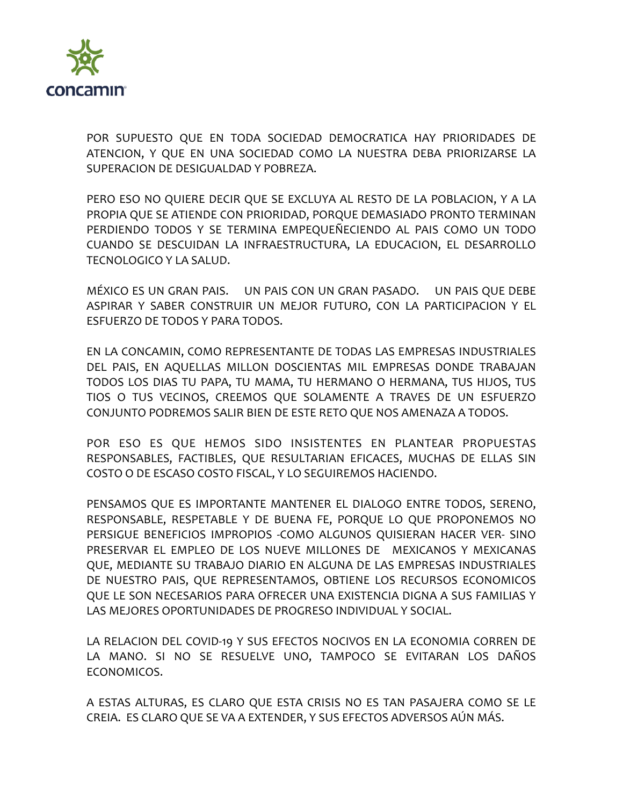

POR SUPUESTO QUE EN TODA SOCIEDAD DEMOCRATICA HAY PRIORIDADES DE ATENCION, Y QUE EN UNA SOCIEDAD COMO LA NUESTRA DEBA PRIORIZARSE LA SUPERACION DE DESIGUALDAD Y POBREZA.

PERO ESO NO QUIERE DECIR QUE SE EXCLUYA AL RESTO DE LA POBLACION, Y A LA PROPIA QUE SE ATIENDE CON PRIORIDAD, PORQUE DEMASIADO PRONTO TERMINAN PERDIENDO TODOS Y SE TERMINA EMPEQUEÑECIENDO AL PAIS COMO UN TODO CUANDO SE DESCUIDAN LA INFRAESTRUCTURA, LA EDUCACION, EL DESARROLLO TECNOLOGICO Y LA SALUD.

MÉXICO ES UN GRAN PAIS. UN PAIS CON UN GRAN PASADO. UN PAIS QUE DEBE ASPIRAR Y SABER CONSTRUIR UN MEJOR FUTURO, CON LA PARTICIPACION Y EL ESFUERZO DE TODOS Y PARA TODOS.

EN LA CONCAMIN, COMO REPRESENTANTE DE TODAS LAS EMPRESAS INDUSTRIALES DEL PAIS, EN AQUELLAS MILLON DOSCIENTAS MIL EMPRESAS DONDE TRABAJAN TODOS LOS DIAS TU PAPA, TU MAMA, TU HERMANO O HERMANA, TUS HIJOS, TUS TIOS O TUS VECINOS, CREEMOS QUE SOLAMENTE A TRAVES DE UN ESFUERZO CONJUNTO PODREMOS SALIR BIEN DE ESTE RETO QUE NOS AMENAZA A TODOS.

POR ESO ES QUE HEMOS SIDO INSISTENTES EN PLANTEAR PROPUESTAS RESPONSABLES, FACTIBLES, QUE RESULTARIAN EFICACES, MUCHAS DE ELLAS SIN COSTO O DE ESCASO COSTO FISCAL, Y LO SEGUIREMOS HACIENDO.

PENSAMOS QUE ES IMPORTANTE MANTENER EL DIALOGO ENTRE TODOS, SERENO, RESPONSABLE, RESPETABLE Y DE BUENA FE, PORQUE LO QUE PROPONEMOS NO PERSIGUE BENEFICIOS IMPROPIOS -COMO ALGUNOS QUISIERAN HACER VER- SINO PRESERVAR EL EMPLEO DE LOS NUEVE MILLONES DE MEXICANOS Y MEXICANAS QUE, MEDIANTE SU TRABAJO DIARIO EN ALGUNA DE LAS EMPRESAS INDUSTRIALES DE NUESTRO PAIS, QUE REPRESENTAMOS, OBTIENE LOS RECURSOS ECONOMICOS QUE LE SON NECESARIOS PARA OFRECER UNA EXISTENCIA DIGNA A SUS FAMILIAS Y LAS MEJORES OPORTUNIDADES DE PROGRESO INDIVIDUAL Y SOCIAL.

LA RELACION DEL COVID-19 Y SUS EFECTOS NOCIVOS EN LA ECONOMIA CORREN DE LA MANO. SI NO SE RESUELVE UNO, TAMPOCO SE EVITARAN LOS DAÑOS ECONOMICOS.

A ESTAS ALTURAS, ES CLARO QUE ESTA CRISIS NO ES TAN PASAJERA COMO SE LE CREIA. ES CLARO QUE SE VA A EXTENDER, Y SUS EFECTOS ADVERSOS AÚN MÁS.